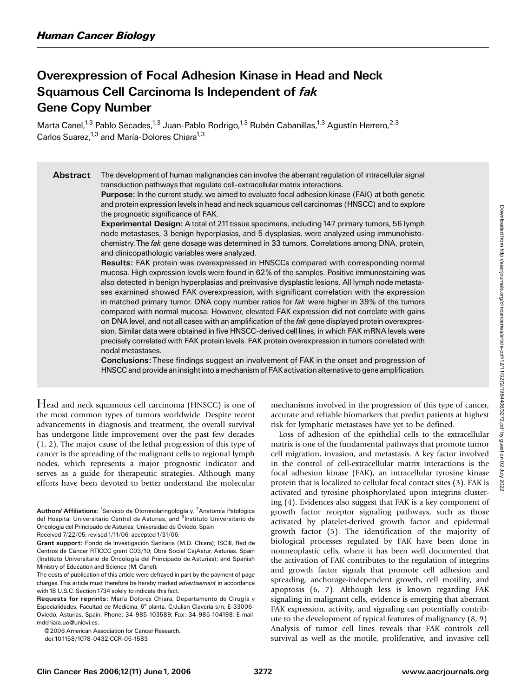# Overexpression of Focal Adhesion Kinase in Head and Neck Squamous Cell Carcinoma Is Independent of fak Gene Copy Number

Marta Canel,<sup>1,3</sup> Pablo Secades,<sup>1,3</sup> Juan-Pablo Rodrigo,<sup>1,3</sup> Rubén Cabanillas,<sup>1,3</sup> Agustín Herrero,<sup>2,3</sup> Carlos Suarez, $1,3$  and María-Dolores Chiara $1,3$ 

Abstract The development of human malignancies can involve the aberrant regulation of intracellular signal transduction pathways that regulate cell-extracellular matrix interactions.

> Purpose: In the current study, we aimed to evaluate focal adhesion kinase (FAK) at both genetic and protein expressionlevels inhead and neck squamous cell carcinomas (HNSCC) and to explore the prognostic significance of FAK.

> Experimental Design: A total of 211tissue specimens, including 147 primary tumors, 56 lymph node metastases, 3 benign hyperplasias, and 5 dysplasias, were analyzed using immunohistochemistry. The fak gene dosage was determined in 33 tumors. Correlations among DNA, protein, and clinicopathologic variables were analyzed.

> Results: FAK protein was overexpressed in HNSCCs compared with corresponding normal mucosa. High expression levels were found in 62% of the samples. Positive immunostaining was also detected in benign hyperplasias and preinvasive dysplastic lesions. All lymph node metastases examined showed FAK overexpression, with significant correlation with the expression in matched primary tumor. DNA copy number ratios for fak were higher in 39% of the tumors compared with normal mucosa. However, elevated FAK expression did not correlate with gains on DNA level, and not all cases with an amplification of the fak gene displayed protein overexpression. Similar data were obtained in five HNSCC-derived cell lines, in which FAK mRNA levels were precisely correlated with FAK protein levels. FAK protein overexpression in tumors correlated with nodal metastases.

> Conclusions: These findings suggest an involvement of FAK in the onset and progression of HNSCC and provide an insight into a mechanism of FAK activation alternative to gene amplification.

Head and neck squamous cell carcinoma (HNSCC) is one of the most common types of tumors worldwide. Despite recent advancements in diagnosis and treatment, the overall survival has undergone little improvement over the past few decades (1, 2). The major cause of the lethal progression of this type of cancer is the spreading of the malignant cells to regional lymph nodes, which represents a major prognostic indicator and serves as a guide for therapeutic strategies. Although many efforts have been devoted to better understand the molecular

©2006 American Association for Cancer Research doi:10.1158/1078-0432.CCR-05-1583

mechanisms involved in the progression of this type of cancer, accurate and reliable biomarkers that predict patients at highest risk for lymphatic metastases have yet to be defined.

Loss of adhesion of the epithelial cells to the extracellular matrix is one of the fundamental pathways that promote tumor cell migration, invasion, and metastasis. A key factor involved in the control of cell-extracellular matrix interactions is the focal adhesion kinase (FAK), an intracellular tyrosine kinase protein that is localized to cellular focal contact sites (3). FAK is activated and tyrosine phosphorylated upon integrins clustering (4). Evidences also suggest that FAK is a key component of growth factor receptor signaling pathways, such as those activated by platelet-derived growth factor and epidermal growth factor (5). The identification of the majority of biological processes regulated by FAK have been done in nonneoplastic cells, where it has been well documented that the activation of FAK contributes to the regulation of integrins and growth factor signals that promote cell adhesion and spreading, anchorage-independent growth, cell motility, and apoptosis (6, 7). Although less is known regarding FAK signaling in malignant cells, evidence is emerging that aberrant FAK expression, activity, and signaling can potentially contribute to the development of typical features of malignancy (8, 9). Analysis of tumor cell lines reveals that FAK controls cell survival as well as the motile, proliferative, and invasive cell

Authors' Affiliations: <sup>1</sup>Servicio de Otorrinolaringología y, <sup>2</sup>Anatomía Patológica del Hospital Universitario Central de Asturias, and <sup>3</sup>Instituto Universitario de Oncologia del Principado de Asturias, Universidad de Oviedo, Spain

Received 7/22/05; revised 1/11/06; accepted 1/31/06.

Grant support: Fondo de Investigación Sanitaria (M.D. Chiara); ISCIII, Red de Centros de Cáncer RTICCC grant C03/10; Obra Social CajAstur, Asturias, Spain (Instituto Universitario de Oncología del Principado de Asturias); and Spanish Ministry of Education and Science (M. Canel).

The costs of publication of this article were defrayed in part by the payment of page charges. This article must therefore be hereby marked *advertisement* in accordance with 18 U.S.C. Section 1734 solely to indicate this fact.

Requests for reprints: María Dolores Chiara, Departamento de Cirugía y Especialidades, Facultad de Medicina, 6<sup>ª</sup> planta, C/Julian Clavería s/n, E-33006-Oviedo, Asturias, Spain. Phone: 34-985-103589; Fax: 34-985-104198; E-mail: mdchiara.uo@uniovi.es.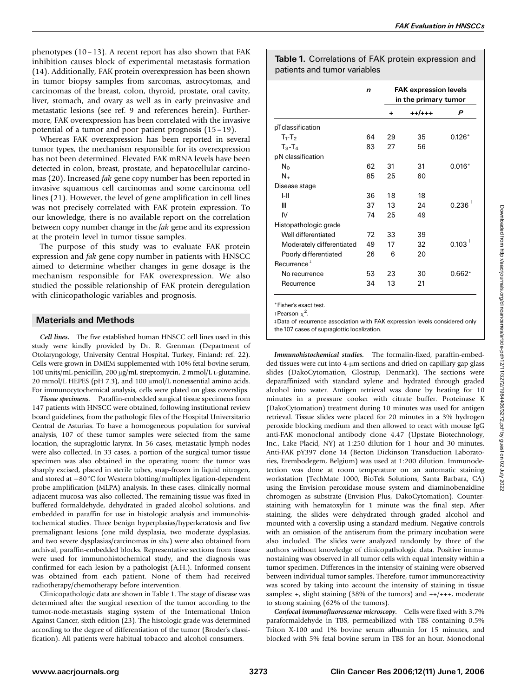phenotypes (10– 13). A recent report has also shown that FAK inhibition causes block of experimental metastasis formation (14). Additionally, FAK protein overexpression has been shown in tumor biopsy samples from sarcomas, astrocytomas, and carcinomas of the breast, colon, thyroid, prostate, oral cavity, liver, stomach, and ovary as well as in early preinvasive and metastatic lesions (see ref. 9 and references herein). Furthermore, FAK overexpression has been correlated with the invasive potential of a tumor and poor patient prognosis (15– 19).

Whereas FAK overexpression has been reported in several tumor types, the mechanism responsible for its overexpression has not been determined. Elevated FAK mRNA levels have been detected in colon, breast, prostate, and hepatocellular carcinomas (20). Increased fak gene copy number has been reported in invasive squamous cell carcinomas and some carcinoma cell lines (21). However, the level of gene amplification in cell lines was not precisely correlated with FAK protein expression. To our knowledge, there is no available report on the correlation between copy number change in the fak gene and its expression at the protein level in tumor tissue samples.

The purpose of this study was to evaluate FAK protein expression and fak gene copy number in patients with HNSCC aimed to determine whether changes in gene dosage is the mechanism responsible for FAK overexpression. We also studied the possible relationship of FAK protein deregulation with clinicopathologic variables and prognosis.

### Materials and Methods

Cell lines. The five established human HNSCC cell lines used in this study were kindly provided by Dr. R. Grenman (Department of Otolaryngology, University Central Hospital, Turkey, Finland; ref. 22). Cells were grown in DMEM supplemented with 10% fetal bovine serum, 100 units/mL penicillin, 200 μg/mL streptomycin, 2 mmol/L L-glutamine, 20 mmol/L HEPES (pH 7.3), and 100  $\mu$ mol/L nonessential amino acids. For immunocytochemical analysis, cells were plated on glass coverslips.

Tissue specimens. Paraffin-embedded surgical tissue specimens from 147 patients with HNSCC were obtained, following institutional review board guidelines, from the pathologic files of the Hospital Universitario Central de Asturias. To have a homogeneous population for survival analysis, 107 of these tumor samples were selected from the same location, the supraglottic larynx. In 56 cases, metastatic lymph nodes were also collected. In 33 cases, a portion of the surgical tumor tissue specimen was also obtained in the operating room: the tumor was sharply excised, placed in sterile tubes, snap-frozen in liquid nitrogen, and stored at  $-80^{\circ}$ C for Western blotting/multiplex ligation-dependent probe amplification (MLPA) analysis. In these cases, clinically normal adjacent mucosa was also collected. The remaining tissue was fixed in buffered formaldehyde, dehydrated in graded alcohol solutions, and embedded in paraffin for use in histologic analysis and immunohistochemical studies. Three benign hyperplasias/hyperkeratosis and five premalignant lesions (one mild dysplasia, two moderate dysplasias, and two severe dysplasias/carcinomas in situ) were also obtained from archival, paraffin-embedded blocks. Representative sections from tissue were used for immunohistochemical study, and the diagnosis was confirmed for each lesion by a pathologist (A.H.). Informed consent was obtained from each patient. None of them had received radiotherapy/chemotherapy before intervention.

Clinicopathologic data are shown in Table 1. The stage of disease was determined after the surgical resection of the tumor according to the tumor-node-metastasis staging system of the International Union Against Cancer, sixth edition (23). The histologic grade was determined according to the degree of differentiation of the tumor (Broder's classification). All patients were habitual tobacco and alcohol consumers.

Table 1. Correlations of FAK protein expression and patients and tumor variables

|                                               | n  |    | <b>FAK expression levels</b><br>in the primary tumor |                      |  |  |
|-----------------------------------------------|----|----|------------------------------------------------------|----------------------|--|--|
|                                               |    | ÷  | $+ + / + + +$                                        | P                    |  |  |
| pTclassification                              |    |    |                                                      |                      |  |  |
| $T_1$ - $T_2$                                 | 64 | 29 | 35                                                   | $0.126*$             |  |  |
| $T_3 - T_4$                                   | 83 | 27 | 56                                                   |                      |  |  |
| pN classification                             |    |    |                                                      |                      |  |  |
| $N_0$                                         | 62 | 31 | 31                                                   | $0.016*$             |  |  |
| $N_{+}$                                       | 85 | 25 | 60                                                   |                      |  |  |
| Disease stage                                 |    |    |                                                      |                      |  |  |
| $I - II$                                      | 36 | 18 | 18                                                   |                      |  |  |
| Ш                                             | 37 | 13 | 24                                                   | $0.236^{\dagger}$    |  |  |
| IV                                            | 74 | 25 | 49                                                   |                      |  |  |
| Histopathologic grade                         |    |    |                                                      |                      |  |  |
| Well differentiated                           | 72 | 33 | 39                                                   |                      |  |  |
| Moderately differentiated                     | 49 | 17 | 32                                                   | $0.103$ <sup>+</sup> |  |  |
| Poorly differentiated                         | 26 | 6  | 20                                                   |                      |  |  |
| Recurrence <sup>#</sup>                       |    |    |                                                      |                      |  |  |
| No recurrence                                 | 53 | 23 | 30                                                   | $0.662*$             |  |  |
| Recurrence                                    | 34 | 13 | 21                                                   |                      |  |  |
| *Fisher's exact test.<br>t Pearson $\chi^2$ . |    |    |                                                      |                      |  |  |

 $\pm$ Data of recurrence association with FAK expression levels considered only the 107 cases of supraglottic localization.

Immunohistochemical studies. The formalin-fixed, paraffin-embedded tissues were cut into 4-µm sections and dried on capillary gap glass slides (DakoCytomation, Glostrup, Denmark). The sections were deparaffinized with standard xylene and hydrated through graded alcohol into water. Antigen retrieval was done by heating for 10 minutes in a pressure cooker with citrate buffer. Proteinase K (DakoCytomation) treatment during 10 minutes was used for antigen retrieval. Tissue slides were placed for 20 minutes in a 3% hydrogen peroxide blocking medium and then allowed to react with mouse IgG anti-FAK monoclonal antibody clone 4.47 (Upstate Biotechnology, Inc., Lake Placid, NY) at 1:250 dilution for 1 hour and 30 minutes. Anti-FAK pY397 clone 14 (Becton Dickinson Transduction Laboratories, Erembodegem, Belgium) was used at 1:200 dilution. Immunodetection was done at room temperature on an automatic staining workstation (TechMate 1000, BioTek Solutions, Santa Barbara, CA) using the Envision peroxidase mouse system and diaminobenzidine chromogen as substrate (Envision Plus, DakoCytomation). Counterstaining with hematoxylin for 1 minute was the final step. After staining, the slides were dehydrated through graded alcohol and mounted with a coverslip using a standard medium. Negative controls with an omission of the antiserum from the primary incubation were also included. The slides were analyzed randomly by three of the authors without knowledge of clinicopathologic data. Positive immunostaining was observed in all tumor cells with equal intensity within a tumor specimen. Differences in the intensity of staining were observed between individual tumor samples. Therefore, tumor immunoreactivity was scored by taking into account the intensity of staining in tissue samples: +, slight staining (38% of the tumors) and ++/+++, moderate to strong staining (62% of the tumors).

Confocal immunofluorescence microscopy. Cells were fixed with 3.7% paraformaldehyde in TBS, permeabilized with TBS containing 0.5% Triton X-100 and 1% bovine serum albumin for 15 minutes, and blocked with 5% fetal bovine serum in TBS for an hour. Monoclonal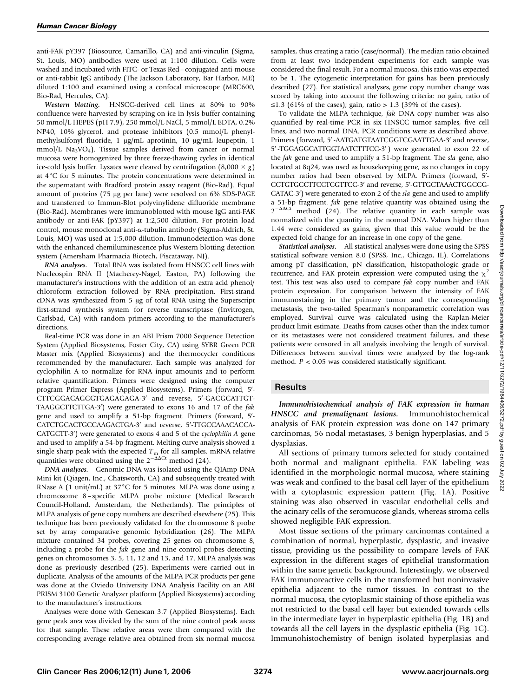anti-FAK pY397 (Biosource, Camarillo, CA) and anti-vinculin (Sigma, St. Louis, MO) antibodies were used at 1:100 dilution. Cells were washed and incubated with FITC- or Texas Red – conjugated anti-mouse or anti-rabbit IgG antibody (The Jackson Laboratory, Bar Harbor, ME) diluted 1:100 and examined using a confocal microscope (MRC600, Bio-Rad, Hercules, CA).

Western blotting. HNSCC-derived cell lines at 80% to 90% confluence were harvested by scraping on ice in lysis buffer containing 50 mmol/L HEPES (pH 7.9), 250 mmol/L NaCl, 5 mmol/L EDTA, 0.2% NP40, 10% glycerol, and protease inhibitors (0.5 mmol/L phenylmethylsulfonyl fluoride, 1 µg/mL aprotinin, 10 µg/mL leupeptin, 1 mmol/L Na3VO4). Tissue samples derived from cancer or normal mucosa were homogenized by three freeze-thawing cycles in identical ice-cold lysis buffer. Lysates were cleared by centrifugation  $(8,000 \times g)$ at  $4^{\circ}$ C for 5 minutes. The protein concentrations were determined in the supernatant with Bradford protein assay reagent (Bio-Rad). Equal amount of proteins (75 µg per lane) were resolved on 6% SDS-PAGE and transferred to Immun-Blot polyvinylidene difluoride membrane (Bio-Rad). Membranes were immunoblotted with mouse IgG anti-FAK antibody or anti-FAK (pY397) at 1:2,500 dilution. For protein load control, mouse monoclonal anti-a-tubulin antibody (Sigma-Aldrich, St. Louis, MO) was used at 1:5,000 dilution. Immunodetection was done with the enhanced chemiluminescence plus Western blotting detection system (Amersham Pharmacia Biotech, Piscataway, NJ).

RNA analyses. Total RNA was isolated from HNSCC cell lines with Nucleospin RNA II (Macherey-Nagel, Easton, PA) following the manufacturer's instructions with the addition of an extra acid phenol/ chloroform extraction followed by RNA precipitation. First-strand  $cDNA$  was synthesized from 5  $\mu$ g of total RNA using the Superscript first-strand synthesis system for reverse transcriptase (Invitrogen, Carlsbad, CA) with random primers according to the manufacturer's directions.

Real-time PCR was done in an ABI Prism 7000 Sequence Detection System (Applied Biosystems, Foster City, CA) using SYBR Green PCR Master mix (Applied Biosystems) and the thermocycler conditions recommended by the manufacturer. Each sample was analyzed for cyclophilin A to normalize for RNA input amounts and to perform relative quantification. Primers were designed using the computer program Primer Express (Applied Biosystems). Primers (forward, 5'-CTTCGGACAGCGTGAGAGAGA-3' and reverse, 5'-GACGCATTGT-TAAGGCTTCTTGA-3') were generated to exons 16 and 17 of the fak gene and used to amplify a 51-bp fragment. Primers (forward, 5'-CATCTGCACTGCCAAGACTGA-3' and reverse, 5'-TTGCCAAACACCA-CATGCTT-3') were generated to exons 4 and 5 of the cyclophilin A gene and used to amplify a 54-bp fragment. Melting curve analysis showed a single sharp peak with the expected  $T_{\rm m}$  for all samples. mRNA relative quantities were obtained using the  $2^{-\Delta\Delta Ct}$  method (24).

DNA analyses. Genomic DNA was isolated using the QIAmp DNA Mini kit (Qiagen, Inc., Chatsworth, CA) and subsequently treated with RNase A (1 unit/mL) at  $37^{\circ}$ C for 5 minutes. MLPA was done using a chromosome 8 – specific MLPA probe mixture (Medical Research Council-Holland, Amsterdam, the Netherlands). The principles of MLPA analysis of gene copy numbers are described elsewhere (25). This technique has been previously validated for the chromosome 8 probe set by array comparative genomic hybridization (26). The MLPA mixture contained 34 probes, covering 25 genes on chromosome 8, including a probe for the fak gene and nine control probes detecting genes on chromosomes 3, 5, 11, 12 and 13, and 17. MLPA analysis was done as previously described (25). Experiments were carried out in duplicate. Analysis of the amounts of the MLPA PCR products per gene was done at the Oviedo University DNA Analysis Facility on an ABI PRISM 3100 Genetic Analyzer platform (Applied Biosystems) according to the manufacturer's instructions.

Analyses were done with Genescan 3.7 (Applied Biosystems). Each gene peak area was divided by the sum of the nine control peak areas for that sample. These relative areas were then compared with the corresponding average relative area obtained from six normal mucosa

samples, thus creating a ratio (case/normal). The median ratio obtained from at least two independent experiments for each sample was considered the final result. For a normal mucosa, this ratio was expected to be 1. The cytogenetic interpretation for gains has been previously described (27). For statistical analyses, gene copy number change was scored by taking into account the following criteria: no gain, ratio of  $\leq$ 1.3 (61% of the cases); gain, ratio > 1.3 (39% of the cases).

To validate the MLPA technique, fak DNA copy number was also quantified by real-time PCR in six HNSCC tumor samples, five cell lines, and two normal DNA. PCR conditions were as described above. Primers (forward, 5'-AATGATGTAATCGGTCGAATTGAA-3' and reverse, 5'-TGGAGGCATTGGTAATCTTTCC-3') were generated to exon 22 of the fak gene and used to amplify a 51-bp fragment. The sla gene, also located at 8q24, was used as housekeeping gene, as no changes in copy number ratios had been observed by MLPA. Primers (forward, 5'-CCTGTGCCTTCCTCGTTCC-3' and reverse, 5'-GTTGCTAAACTGGCCG-CATAC-3') were generated to exon 2 of the sla gene and used to amplify a 51-bp fragment. fak gene relative quantity was obtained using the  $2^{-\Delta\Delta Ct}$  method (24). The relative quantity in each sample was normalized with the quantity in the normal DNA. Values higher than 1.44 were considered as gains, given that this value would be the expected fold change for an increase in one copy of the gene.

Statistical analyses. All statistical analyses were done using the SPSS statistical software version 8.0 (SPSS, Inc., Chicago, IL). Correlations among pT classification, pN classification, histopathologic grade or recurrence, and FAK protein expression were computed using the  $\chi$ test. This test was also used to compare fak copy number and FAK protein expression. For comparison between the intensity of FAK immunostaining in the primary tumor and the corresponding metastasis, the two-tailed Spearman's nonparametric correlation was employed. Survival curve was calculated using the Kaplan-Meier product limit estimate. Deaths from causes other than the index tumor or its metastases were not considered treatment failures, and these patients were censored in all analysis involving the length of survival. Differences between survival times were analyzed by the log-rank method.  $P < 0.05$  was considered statistically significant.

## Results

Immunohistochemical analysis of FAK expression in human HNSCC and premalignant lesions. Immunohistochemical analysis of FAK protein expression was done on 147 primary carcinomas, 56 nodal metastases, 3 benign hyperplasias, and 5 dysplasias.

All sections of primary tumors selected for study contained both normal and malignant epithelia. FAK labeling was identified in the morphologic normal mucosa, where staining was weak and confined to the basal cell layer of the epithelium with a cytoplasmic expression pattern (Fig. 1A). Positive staining was also observed in vascular endothelial cells and the acinary cells of the seromucose glands, whereas stroma cells showed negligible FAK expression.

Most tissue sections of the primary carcinomas contained a combination of normal, hyperplastic, dysplastic, and invasive tissue, providing us the possibility to compare levels of FAK expression in the different stages of epithelial transformation within the same genetic background. Interestingly, we observed FAK immunoreactive cells in the transformed but noninvasive epithelia adjacent to the tumor tissues. In contrast to the normal mucosa, the cytoplasmic staining of those epithelia was not restricted to the basal cell layer but extended towards cells in the intermediate layer in hyperplastic epithelia (Fig. 1B) and towards all the cell layers in the dysplastic epithelia (Fig. 1C). Immunohistochemistry of benign isolated hyperplasias and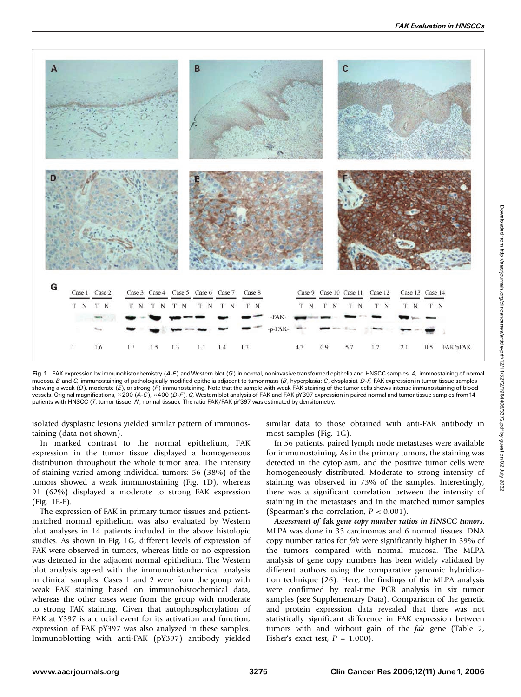

Fig. 1. FAK expression by immunohistochemistry (A-F) and Western blot (G) in normal, noninvasive transformed epithelia and HNSCC samples. A, immnostaining of normal mucosa. B and C, immunostaining of pathologically modified epithelia adjacent to tumor mass  $(B, hyperplasia; C, dysplasia)$ . D-F, FAK expression in tumor tissue samples showing a weak (D), moderate (E), or strong (F) immunostaining. Note that the sample with weak FAK staining of the tumor cells shows intense immunostaining of blood vessels. Original magnifications,  $\times$  200 (4-C),  $\times$ 400 (D-F). G, Western blot analysis of FAK and FAK pY397 expression in paired normal and tumor tissue samples from 14 patients with HNSCC (T, tumor tissue; N, normal tissue). The ratio FAK/FAK pY397 was estimated by densitometry.

isolated dysplastic lesions yielded similar pattern of immunostaining (data not shown).

In marked contrast to the normal epithelium, FAK expression in the tumor tissue displayed a homogeneous distribution throughout the whole tumor area. The intensity of staining varied among individual tumors: 56 (38%) of the tumors showed a weak immunostaining (Fig. 1D), whereas 91(62%) displayed a moderate to strong FAK expression (Fig. 1E-F).

The expression of FAK in primary tumor tissues and patientmatched normal epithelium was also evaluated by Western blot analyses in 14 patients included in the above histologic studies. As shown in Fig. 1G, different levels of expression of FAK were observed in tumors, whereas little or no expression was detected in the adjacent normal epithelium. The Western blot analysis agreed with the immunohistochemical analysis in clinical samples. Cases 1 and 2 were from the group with weak FAK staining based on immunohistochemical data, whereas the other cases were from the group with moderate to strong FAK staining. Given that autophosphorylation of FAK at Y397 is a crucial event for its activation and function, expression of FAK pY397 was also analyzed in these samples. Immunoblotting with anti-FAK (pY397) antibody yielded similar data to those obtained with anti-FAK antibody in most samples (Fig. 1G).

In 56 patients, paired lymph node metastases were available for immunostaining. As in the primary tumors, the staining was detected in the cytoplasm, and the positive tumor cells were homogeneously distributed. Moderate to strong intensity of staining was observed in 73% of the samples. Interestingly, there was a significant correlation between the intensity of staining in the metastases and in the matched tumor samples (Spearman's rho correlation,  $P < 0.001$ ).

Assessment of fak gene copy number ratios in HNSCC tumors. MLPA was done in 33 carcinomas and 6 normal tissues. DNA copy number ratios for fak were significantly higher in 39% of the tumors compared with normal mucosa. The MLPA analysis of gene copy numbers has been widely validated by different authors using the comparative genomic hybridization technique (26). Here, the findings of the MLPA analysis were confirmed by real-time PCR analysis in six tumor samples (see Supplementary Data). Comparison of the genetic and protein expression data revealed that there was not statistically significant difference in FAK expression between tumors with and without gain of the fak gene (Table 2, Fisher's exact test,  $P = 1.000$ ).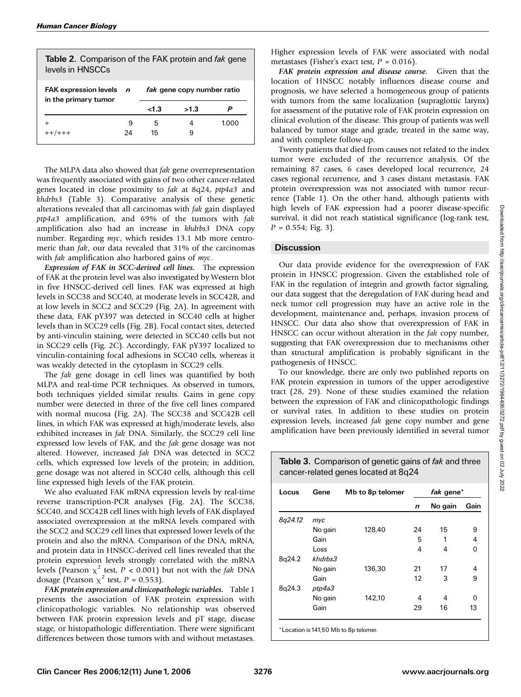| Table 2. Comparison of the FAK protein and fak gene<br>levels in HNSCCs |    |       |                            |      |  |  |  |  |
|-------------------------------------------------------------------------|----|-------|----------------------------|------|--|--|--|--|
| FAK expression levels n<br>in the primary tumor                         |    |       | fak gene copy number ratio |      |  |  |  |  |
|                                                                         |    | < 1.3 | >1.3                       |      |  |  |  |  |
|                                                                         | 9  | 5     | 4                          | 1000 |  |  |  |  |
| $++/+++$                                                                | 24 | 15    | 9                          |      |  |  |  |  |

The MLPA data also showed that fak gene overrepresentation was frequently associated with gains of two other cancer-related genes located in close proximity to fak at 8q24, ptp4a3 and khdrbs3 (Table 3). Comparative analysis of these genetic alterations revealed that all carcinomas with fak gain displayed ptp4a3 amplification, and 69% of the tumors with fak amplification also had an increase in khdrbs3 DNA copy number. Regarding *myc*, which resides 13.1 Mb more centromeric than fak, our data revealed that 31% of the carcinomas with *fak* amplification also harbored gains of  $myc$ .

Expression of FAK in SCC-derived cell lines. The expression of FAK at the protein level was also investigated by Western blot in five HNSCC-derived cell lines. FAK was expressed at high levels in SCC38 and SCC40, at moderate levels in SCC42B, and at low levels in SCC2 and SCC29 (Fig. 2A). In agreement with these data, FAK pY397 was detected in SCC40 cells at higher levels than in SCC29 cells (Fig. 2B). Focal contact sites, detected by anti-vinculin staining, were detected in SCC40 cells but not in SCC29 cells (Fig. 2C). Accordingly, FAK pY397 localized to vinculin-containing focal adhesions in SCC40 cells, whereas it was weakly detected in the cytoplasm in SCC29 cells.

The fak gene dosage in cell lines was quantified by both MLPA and real-time PCR techniques. As observed in tumors, both techniques yielded similar results. Gains in gene copy number were detected in three of the five cell lines compared with normal mucosa (Fig. 2A). The SCC38 and SCC42B cell lines, in which FAK was expressed at high/moderate levels, also exhibited increases in fak DNA. Similarly, the SCC29 cell line expressed low levels of FAK, and the fak gene dosage was not altered. However, increased fak DNA was detected in SCC2 cells, which expressed low levels of the protein; in addition, gene dosage was not altered in SCC40 cells, although this cell line expressed high levels of the FAK protein.

We also evaluated FAK mRNA expression levels by real-time reverse transcription-PCR analyses (Fig. 2A). The SCC38, SCC40, and SCC42B cell lines with high levels of FAK displayed associated overexpression at the mRNA levels compared with the SCC2 and SCC29 cell lines that expressed lower levels of the protein and also the mRNA. Comparison of the DNA, mRNA, and protein data in HNSCC-derived cell lines revealed that the protein expression levels strongly correlated with the mRNA levels (Pearson  $\chi^2$  test, P < 0.001) but not with the fak DNA dosage (Pearson  $\chi^2$  test, P = 0.553).

FAK protein expression and clinicopathologic variables. Table 1 presents the association of FAK protein expression with clinicopathologic variables. No relationship was observed between FAK protein expression levels and pT stage, disease stage, or histopathologic differentiation. There were significant differences between those tumors with and without metastases.

Higher expression levels of FAK were associated with nodal metastases (Fisher's exact test,  $P = 0.016$ ).

FAK protein expression and disease course. Given that the location of HNSCC notably influences disease course and prognosis, we have selected a homogeneous group of patients with tumors from the same localization (supraglottic larynx) for assessment of the putative role of FAK protein expression on clinical evolution of the disease. This group of patients was well balanced by tumor stage and grade, treated in the same way, and with complete follow-up.

Twenty patients that died from causes not related to the index tumor were excluded of the recurrence analysis. Of the remaining 87 cases, 6 cases developed local recurrence, 24 cases regional recurrence, and 3 cases distant metastasis. FAK protein overexpression was not associated with tumor recurrence (Table 1). On the other hand, although patients with high levels of FAK expression had a poorer disease-specific survival, it did not reach statistical significance (log-rank test,  $P = 0.554$ ; Fig. 3).

# Discussion

Our data provide evidence for the overexpression of FAK protein in HNSCC progression. Given the established role of FAK in the regulation of integrin and growth factor signaling, our data suggest that the deregulation of FAK during head and neck tumor cell progression may have an active role in the development, maintenance and, perhaps, invasion process of HNSCC. Our data also show that overexpression of FAK in HNSCC can occur without alteration in the fak copy number, suggesting that FAK overexpression due to mechanisms other than structural amplification is probably significant in the pathogenesis of HNSCC.

To our knowledge, there are only two published reports on FAK protein expression in tumors of the upper aerodigestive tract (28, 29). None of these studies examined the relation between the expression of FAK and clinicopathologic findings or survival rates. In addition to these studies on protein expression levels, increased fak gene copy number and gene amplification have been previously identified in several tumor

**Table 3.** Comparison of genetic gains of *fak* and three cancer-related genes located at 8q24

| Locus                        | Gene    | Mb to 8p telomer | fak gene*   |         |      |
|------------------------------|---------|------------------|-------------|---------|------|
|                              |         |                  | $\mathbf n$ | No gain | Gain |
| 8q24.12                      | myc     |                  |             |         |      |
|                              | No gain | 128,40           | 24          | 15      | 9    |
|                              | Gain    |                  | 5           | 1       | 4    |
|                              | Loss    |                  | 4           | 4       | 0    |
| 8q24.2<br>khdrbs3<br>No gain |         |                  |             |         |      |
|                              | 136,30  | 21               | 17          | 4       |      |
|                              | Gain    |                  | 12          | 3       | 9    |
| 8q24.3                       | ptp4a3  |                  |             |         |      |
|                              | No gain | 142,10           | 4           | 4       | Ω    |
|                              | Gain    |                  | 29          | 16      | 13   |

\*Location is 141,50 Mb to 8p telomer.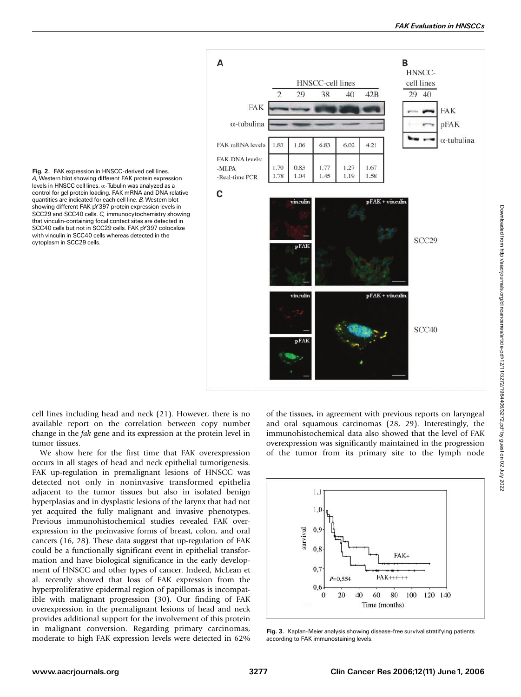

Fig. 2. FAK expression in HNSCC-derived cell lines. A, Western blot showing different FAK protein expression levels in HNSCC cell lines.  $\alpha$ -Tubulin was analyzed as a control for gel protein loading. FAK mRNA and DNA relative quantities are indicated for each cell line. B, Western blot showing different FAK pY397 protein expression levels in SCC29 and SCC40 cells. C, immunocytochemistry showing that vinculin-containing focal contact sites are detected in SCC40 cells but not in SCC29 cells. FAK pY397 colocalize with vinculin in SCC40 cells whereas detected in the cytoplasm in SCC29 cells.

cell lines including head and neck (21). However, there is no available report on the correlation between copy number change in the fak gene and its expression at the protein level in tumor tissues.

We show here for the first time that FAK overexpression occurs in all stages of head and neck epithelial tumorigenesis. FAK up-regulation in premalignant lesions of HNSCC was detected not only in noninvasive transformed epithelia adjacent to the tumor tissues but also in isolated benign hyperplasias and in dysplastic lesions of the larynx that had not yet acquired the fully malignant and invasive phenotypes. Previous immunohistochemical studies revealed FAK overexpression in the preinvasive forms of breast, colon, and oral cancers (16, 28). These data suggest that up-regulation of FAK could be a functionally significant event in epithelial transformation and have biological significance in the early development of HNSCC and other types of cancer. Indeed, McLean et al. recently showed that loss of FAK expression from the hyperproliferative epidermal region of papillomas is incompatible with malignant progression (30). Our finding of FAK overexpression in the premalignant lesions of head and neck provides additional support for the involvement of this protein in malignant conversion. Regarding primary carcinomas, moderate to high FAK expression levels were detected in 62% of the tissues, in agreement with previous reports on laryngeal and oral squamous carcinomas (28, 29). Interestingly, the immunohistochemical data also showed that the level of FAK overexpression was significantly maintained in the progression of the tumor from its primary site to the lymph node



Fig. 3. Kaplan-Meier analysis showing disease-free survival stratifying patients according to FAK immunostaining levels.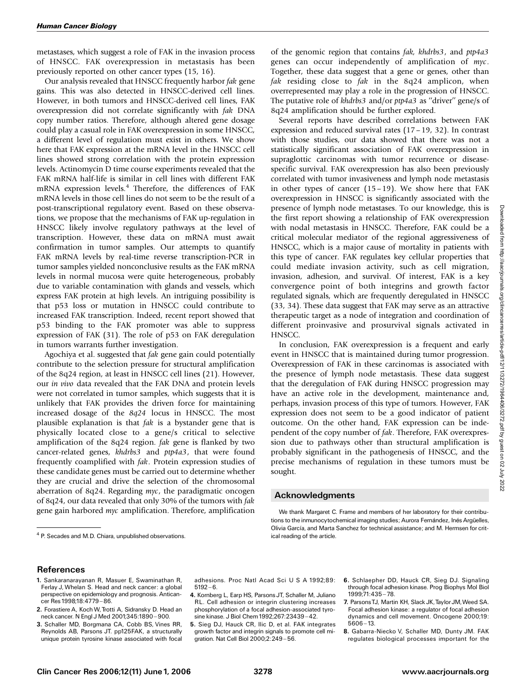metastases, which suggest a role of FAK in the invasion process of HNSCC. FAK overexpression in metastasis has been previously reported on other cancer types (15, 16).

Our analysis revealed that HNSCC frequently harbor fak gene gains. This was also detected in HNSCC-derived cell lines. However, in both tumors and HNSCC-derived cell lines, FAK overexpression did not correlate significantly with fak DNA copy number ratios. Therefore, although altered gene dosage could play a casual role in FAK overexpression in some HNSCC, a different level of regulation must exist in others. We show here that FAK expression at the mRNA level in the HNSCC cell lines showed strong correlation with the protein expression levels. Actinomycin D time course experiments revealed that the FAK mRNA half-life is similar in cell lines with different FAK mRNA expression levels.<sup>4</sup> Therefore, the differences of FAK mRNA levels in those cell lines do not seem to be the result of a post-transcriptional regulatory event. Based on these observations, we propose that the mechanisms of FAK up-regulation in HNSCC likely involve regulatory pathways at the level of transcription. However, these data on mRNA must await confirmation in tumor samples. Our attempts to quantify FAK mRNA levels by real-time reverse transcription-PCR in tumor samples yielded nonconclusive results as the FAK mRNA levels in normal mucosa were quite heterogeneous, probably due to variable contamination with glands and vessels, which express FAK protein at high levels. An intriguing possibility is that p53 loss or mutation in HNSCC could contribute to increased FAK transcription. Indeed, recent report showed that p53 binding to the FAK promoter was able to suppress expression of FAK (31). The role of p53 on FAK deregulation in tumors warrants further investigation.

Agochiya et al. suggested that fak gene gain could potentially contribute to the selection pressure for structural amplification of the 8q24 region, at least in HNSCC cell lines (21). However, our in vivo data revealed that the FAK DNA and protein levels were not correlated in tumor samples, which suggests that it is unlikely that FAK provides the driven force for maintaining increased dosage of the 8q24 locus in HNSCC. The most plausible explanation is that fak is a bystander gene that is physically located close to a gene/s critical to selective amplification of the 8q24 region. fak gene is flanked by two cancer-related genes, khdrbs3 and ptp4a3, that were found frequently coamplified with fak. Protein expression studies of these candidate genes must be carried out to determine whether they are crucial and drive the selection of the chromosomal aberration of 8q24. Regarding myc, the paradigmatic oncogen of 8q24, our data revealed that only 30% of the tumors with fak gene gain harbored myc amplification. Therefore, amplification

of the genomic region that contains fak, khdrbs3, and ptp4a3 genes can occur independently of amplification of myc. Together, these data suggest that a gene or genes, other than fak residing close to fak in the 8q24 amplicon, when overrepresented may play a role in the progression of HNSCC. The putative role of khdrbs3 and/or ptp4a3 as "driver" gene/s of 8q24 amplification should be further explored.

Several reports have described correlations between FAK expression and reduced survival rates (17 – 19, 32). In contrast with those studies, our data showed that there was not a statistically significant association of FAK overexpression in supraglottic carcinomas with tumor recurrence or diseasespecific survival. FAK overexpression has also been previously correlated with tumor invasiveness and lymph node metastasis in other types of cancer  $(15-19)$ . We show here that FAK overexpression in HNSCC is significantly associated with the presence of lymph node metastases. To our knowledge, this is the first report showing a relationship of FAK overexpression with nodal metastasis in HNSCC. Therefore, FAK could be a critical molecular mediator of the regional aggressiveness of HNSCC, which is a major cause of mortality in patients with this type of cancer. FAK regulates key cellular properties that could mediate invasion activity, such as cell migration, invasion, adhesion, and survival. Of interest, FAK is a key convergence point of both integrins and growth factor regulated signals, which are frequently deregulated in HNSCC (33, 34). These data suggest that FAK may serve as an attractive therapeutic target as a node of integration and coordination of different proinvasive and prosurvival signals activated in HNSCC.

In conclusion, FAK overexpression is a frequent and early event in HNSCC that is maintained during tumor progression. Overexpression of FAK in these carcinomas is associated with the presence of lymph node metastasis. These data suggest that the deregulation of FAK during HNSCC progression may have an active role in the development, maintenance and, perhaps, invasion process of this type of tumors. However, FAK expression does not seem to be a good indicator of patient outcome. On the other hand, FAK expression can be independent of the copy number of fak. Therefore, FAK overexpression due to pathways other than structural amplification is probably significant in the pathogenesis of HNSCC, and the precise mechanisms of regulation in these tumors must be sought.

## Acknowledgments

We thank Margaret C. Frame and members of her laboratory for their contributions to the inmunocytochemical imaging studies; Aurora Fernández, Inés Argüelles, Olivia García, and Marta Sanchez for technical assistance; and M. Hermsen for crit-

#### References

- 1. Sankaranarayanan R, Masuer E, Swaminathan R, Ferlay J, Whelan S. Head and neck cancer: a global perspective on epidemiology and prognosis. Anticancer Res 1998;18:4779-86.
- 2. Forastiere A, Koch W,Trotti A, Sidransky D. Head an neck cancer. N Engl J Med 2001;345:1890-900.
- 3. Schaller MD, Borgmana CA, Cobb BS, Vines RR, Reynolds AB, Parsons JT. pp125FAK, a structurally unique protein tyrosine kinase associated with focal
- adhesions. Proc Natl Acad Sci U S A 1992;89:  $5192 - 6.$
- 4. Kornberg L, Earp HS, Parsons JT, Schaller M, Juliano RL. Cell adhesion or integrin clustering increases phosphorylation of a focal adhesion-associated tyrosine kinase. J Biol Chem 1992;267:23439 ^ 42.
- 5. Sieg DJ, Hauck CR, Ilic D, et al. FAK integrates growth factor and integrin signals to promote cell migration. Nat Cell Biol 2000;2:249-56.
- 6. Schlaepher DD, Hauck CR, Sieg DJ. Signaling through focal adhesion kinase. Prog Biophys Mol Biol 1999;71:435 - 78.
- 7. ParsonsTJ, Martin KH, Slack JK,Taylor JM,Weed SA. Focal adhesion kinase: a regulator of focal adhesion dynamics and cell movement. Oncogene 2000;19:  $5606 - 13$
- 8. Gabarra-Niecko V, Schaller MD, Dunty JM. FAK regulates biological processes important for the

<sup>&</sup>lt;sup>4</sup> P. Secades and M.D. Chiara, unpublished observations. The article of the article.